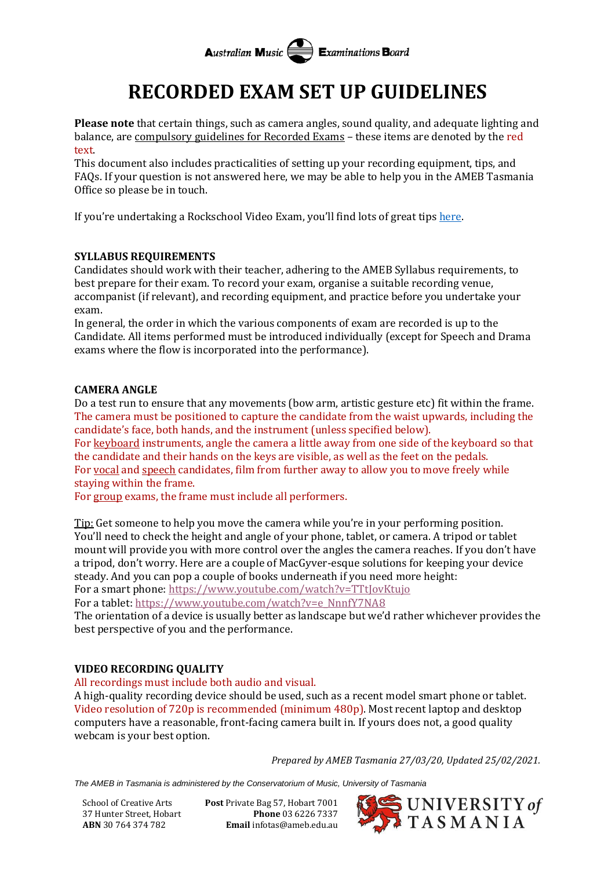**Australian Music Examinations Board** 

## **RECORDED EXAM SET UP GUIDELINES**

**Please note** that certain things, such as camera angles, sound quality, and adequate lighting and balance, are compulsory guidelines for Recorded Exams – these items are denoted by the red text.

This document also includes practicalities of setting up your recording equipment, tips, and FAQs. If your question is not answered here, we may be able to help you in the AMEB Tasmania Office so please be in touch.

If you're undertaking a Rockschool Video Exam, you'll find lots of great tip[s here.](https://www.utas.edu.au/__data/assets/pdf_file/0003/1321716/Rockschool-Video-Exam-Guide.pdf)

### **SYLLABUS REQUIREMENTS**

Candidates should work with their teacher, adhering to the AMEB Syllabus requirements, to best prepare for their exam. To record your exam, organise a suitable recording venue, accompanist (if relevant), and recording equipment, and practice before you undertake your exam.

In general, the order in which the various components of exam are recorded is up to the Candidate. All items performed must be introduced individually (except for Speech and Drama exams where the flow is incorporated into the performance).

## **CAMERA ANGLE**

Do a test run to ensure that any movements (bow arm, artistic gesture etc) fit within the frame. The camera must be positioned to capture the candidate from the waist upwards, including the candidate's face, both hands, and the instrument (unless specified below).

For keyboard instruments, angle the camera a little away from one side of the keyboard so that the candidate and their hands on the keys are visible, as well as the feet on the pedals. For vocal and speech candidates, film from further away to allow you to move freely while staying within the frame.

For group exams, the frame must include all performers.

Tip: Get someone to help you move the camera while you're in your performing position. You'll need to check the height and angle of your phone, tablet, or camera. A tripod or tablet mount will provide you with more control over the angles the camera reaches. If you don't have a tripod, don't worry. Here are a couple of MacGyver-esque solutions for keeping your device steady. And you can pop a couple of books underneath if you need more height: For a smart phone: <https://www.youtube.com/watch?v=TTtJovKtujo>

For a tablet: [https://www.youtube.com/watch?v=e\\_NnnfY7NA8](https://www.youtube.com/watch?v=e_NnnfY7NA8)

The orientation of a device is usually better as landscape but we'd rather whichever provides the best perspective of you and the performance.

## **VIDEO RECORDING QUALITY**

All recordings must include both audio and visual.

A high-quality recording device should be used, such as a recent model smart phone or tablet. Video resolution of 720p is recommended (minimum 480p). Most recent laptop and desktop computers have a reasonable, front-facing camera built in. If yours does not, a good quality webcam is your best option.

*Prepared by AMEB Tasmania 27/03/20, Updated 25/02/2021.*

*The AMEB in Tasmania is administered by the Conservatorium of Music, University of Tasmania*

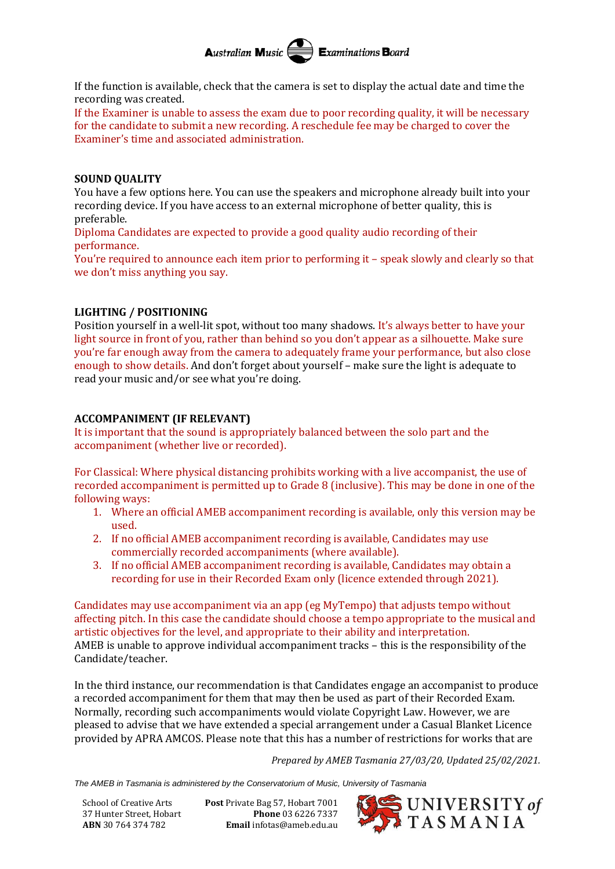

If the function is available, check that the camera is set to display the actual date and time the recording was created.

If the Examiner is unable to assess the exam due to poor recording quality, it will be necessary for the candidate to submit a new recording. A reschedule fee may be charged to cover the Examiner's time and associated administration.

#### **SOUND QUALITY**

You have a few options here. You can use the speakers and microphone already built into your recording device. If you have access to an external microphone of better quality, this is preferable.

Diploma Candidates are expected to provide a good quality audio recording of their performance.

You're required to announce each item prior to performing it – speak slowly and clearly so that we don't miss anything you say.

#### **LIGHTING / POSITIONING**

Position yourself in a well-lit spot, without too many shadows. It's always better to have your light source in front of you, rather than behind so you don't appear as a silhouette. Make sure you're far enough away from the camera to adequately frame your performance, but also close enough to show details. And don't forget about yourself – make sure the light is adequate to read your music and/or see what you're doing.

#### **ACCOMPANIMENT (IF RELEVANT)**

It is important that the sound is appropriately balanced between the solo part and the accompaniment (whether live or recorded).

For Classical: Where physical distancing prohibits working with a live accompanist, the use of recorded accompaniment is permitted up to Grade 8 (inclusive). This may be done in one of the following ways:

- 1. Where an official AMEB accompaniment recording is available, only this version may be used.
- 2. If no official AMEB accompaniment recording is available, Candidates may use commercially recorded accompaniments (where available).
- 3. If no official AMEB accompaniment recording is available, Candidates may obtain a recording for use in their Recorded Exam only (licence extended through 2021).

Candidates may use accompaniment via an app (eg MyTempo) that adjusts tempo without affecting pitch. In this case the candidate should choose a tempo appropriate to the musical and artistic objectives for the level, and appropriate to their ability and interpretation. AMEB is unable to approve individual accompaniment tracks – this is the responsibility of the Candidate/teacher.

In the third instance, our recommendation is that Candidates engage an accompanist to produce a recorded accompaniment for them that may then be used as part of their Recorded Exam. Normally, recording such accompaniments would violate Copyright Law. However, we are pleased to advise that we have extended a special arrangement under a Casual Blanket Licence provided by APRA AMCOS. Please note that this has a number of restrictions for works that are

*Prepared by AMEB Tasmania 27/03/20, Updated 25/02/2021.*

*The AMEB in Tasmania is administered by the Conservatorium of Music, University of Tasmania*

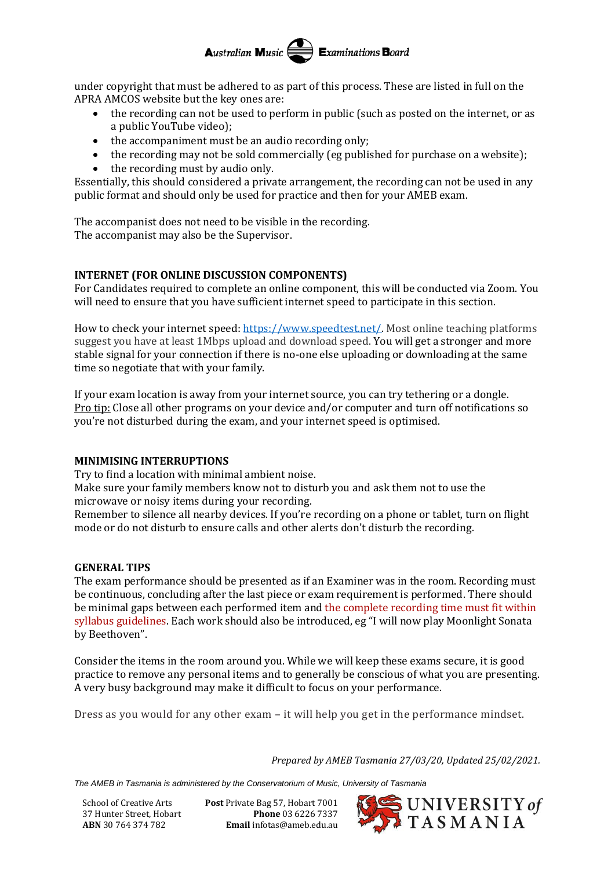under copyright that must be adhered to as part of this process. These are listed in full on the APRA AMCOS website but the key ones are:

**Australian Music Examinations Board** 

- the recording can not be used to perform in public (such as posted on the internet, or as a public YouTube video);
- the accompaniment must be an audio recording only;
- the recording may not be sold commercially (eg published for purchase on a website);
- the recording must by audio only.

Essentially, this should considered a private arrangement, the recording can not be used in any public format and should only be used for practice and then for your AMEB exam.

The accompanist does not need to be visible in the recording. The accompanist may also be the Supervisor.

#### **INTERNET (FOR ONLINE DISCUSSION COMPONENTS)**

For Candidates required to complete an online component, this will be conducted via Zoom. You will need to ensure that you have sufficient internet speed to participate in this section.

How to check your internet speed[: https://www.speedtest.net/.](https://www.speedtest.net/) Most online teaching platforms suggest you have at least 1Mbps upload and download speed. You will get a stronger and more stable signal for your connection if there is no-one else uploading or downloading at the same time so negotiate that with your family.

If your exam location is away from your internet source, you can try tethering or a dongle. Pro tip: Close all other programs on your device and/or computer and turn off notifications so you're not disturbed during the exam, and your internet speed is optimised.

#### **MINIMISING INTERRUPTIONS**

Try to find a location with minimal ambient noise.

Make sure your family members know not to disturb you and ask them not to use the microwave or noisy items during your recording.

Remember to silence all nearby devices. If you're recording on a phone or tablet, turn on flight mode or do not disturb to ensure calls and other alerts don't disturb the recording.

#### **GENERAL TIPS**

The exam performance should be presented as if an Examiner was in the room. Recording must be continuous, concluding after the last piece or exam requirement is performed. There should be minimal gaps between each performed item and the complete recording time must fit within syllabus guidelines. Each work should also be introduced, eg "I will now play Moonlight Sonata by Beethoven".

Consider the items in the room around you. While we will keep these exams secure, it is good practice to remove any personal items and to generally be conscious of what you are presenting. A very busy background may make it difficult to focus on your performance.

Dress as you would for any other exam – it will help you get in the performance mindset.

*Prepared by AMEB Tasmania 27/03/20, Updated 25/02/2021.*

*The AMEB in Tasmania is administered by the Conservatorium of Music, University of Tasmania*